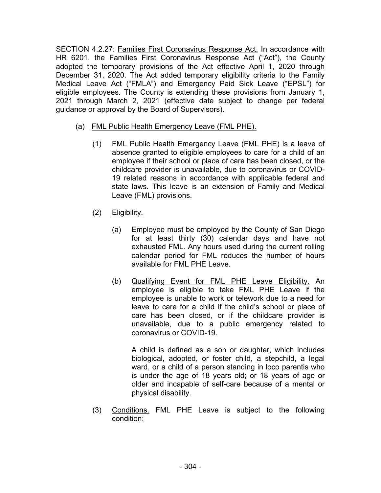SECTION 4.2.27: Families First Coronavirus Response Act. In accordance with HR 6201, the Families First Coronavirus Response Act ("Act"), the County adopted the temporary provisions of the Act effective April 1, 2020 through December 31, 2020. The Act added temporary eligibility criteria to the Family Medical Leave Act ("FMLA") and Emergency Paid Sick Leave ("EPSL") for eligible employees. The County is extending these provisions from January 1, 2021 through March 2, 2021 (effective date subject to change per federal guidance or approval by the Board of Supervisors).

- (a) FML Public Health Emergency Leave (FML PHE).
	- (1) FML Public Health Emergency Leave (FML PHE) is a leave of absence granted to eligible employees to care for a child of an employee if their school or place of care has been closed, or the childcare provider is unavailable, due to coronavirus or COVID-19 related reasons in accordance with applicable federal and state laws. This leave is an extension of Family and Medical Leave (FML) provisions.
	- (2) Eligibility.
		- (a) Employee must be employed by the County of San Diego for at least thirty (30) calendar days and have not exhausted FML. Any hours used during the current rolling calendar period for FML reduces the number of hours available for FML PHE Leave.
		- (b) Qualifying Event for FML PHE Leave Eligibility. An employee is eligible to take FML PHE Leave if the employee is unable to work or telework due to a need for leave to care for a child if the child's school or place of care has been closed, or if the childcare provider is unavailable, due to a public emergency related to coronavirus or COVID-19.

A child is defined as a son or daughter, which includes biological, adopted, or foster child, a stepchild, a legal ward, or a child of a person standing in loco parentis who is under the age of 18 years old; or 18 years of age or older and incapable of self-care because of a mental or physical disability.

(3) Conditions. FML PHE Leave is subject to the following condition: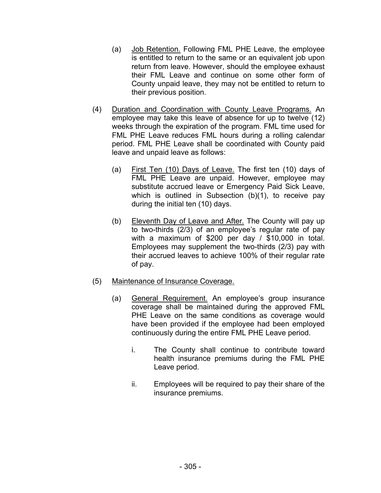- (a) Job Retention. Following FML PHE Leave, the employee is entitled to return to the same or an equivalent job upon return from leave. However, should the employee exhaust their FML Leave and continue on some other form of County unpaid leave, they may not be entitled to return to their previous position.
- (4) Duration and Coordination with County Leave Programs. An employee may take this leave of absence for up to twelve (12) weeks through the expiration of the program. FML time used for FML PHE Leave reduces FML hours during a rolling calendar period. FML PHE Leave shall be coordinated with County paid leave and unpaid leave as follows:
	- (a) First Ten (10) Days of Leave. The first ten (10) days of FML PHE Leave are unpaid. However, employee may substitute accrued leave or Emergency Paid Sick Leave, which is outlined in Subsection (b)(1), to receive pay during the initial ten (10) days.
	- (b) Eleventh Day of Leave and After*.* The County will pay up to two-thirds (2/3) of an employee's regular rate of pay with a maximum of \$200 per day / \$10,000 in total. Employees may supplement the two-thirds (2/3) pay with their accrued leaves to achieve 100% of their regular rate of pay.
- (5) Maintenance of Insurance Coverage.
	- (a) General Requirement. An employee's group insurance coverage shall be maintained during the approved FML PHE Leave on the same conditions as coverage would have been provided if the employee had been employed continuously during the entire FML PHE Leave period.
		- i. The County shall continue to contribute toward health insurance premiums during the FML PHE Leave period.
		- ii. Employees will be required to pay their share of the insurance premiums.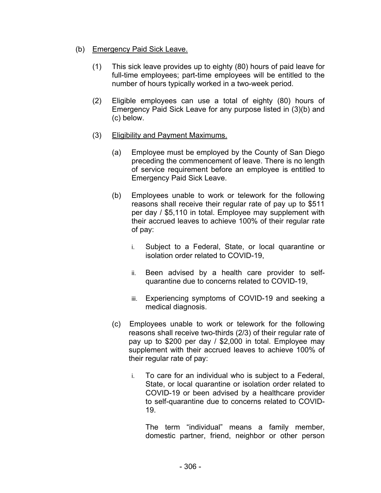## (b) Emergency Paid Sick Leave.

- (1) This sick leave provides up to eighty (80) hours of paid leave for full-time employees; part-time employees will be entitled to the number of hours typically worked in a two-week period.
- (2) Eligible employees can use a total of eighty (80) hours of Emergency Paid Sick Leave for any purpose listed in (3)(b) and (c) below.
- (3) Eligibility and Payment Maximums.
	- (a) Employee must be employed by the County of San Diego preceding the commencement of leave. There is no length of service requirement before an employee is entitled to Emergency Paid Sick Leave.
	- (b) Employees unable to work or telework for the following reasons shall receive their regular rate of pay up to \$511 per day / \$5,110 in total. Employee may supplement with their accrued leaves to achieve 100% of their regular rate of pay:
		- i. Subject to a Federal, State, or local quarantine or isolation order related to COVID-19,
		- ii. Been advised by a health care provider to selfquarantine due to concerns related to COVID-19,
		- iii. Experiencing symptoms of COVID-19 and seeking a medical diagnosis.
	- (c) Employees unable to work or telework for the following reasons shall receive two-thirds (2/3) of their regular rate of pay up to \$200 per day / \$2,000 in total. Employee may supplement with their accrued leaves to achieve 100% of their regular rate of pay:
		- i. To care for an individual who is subject to a Federal, State, or local quarantine or isolation order related to COVID-19 or been advised by a healthcare provider to self-quarantine due to concerns related to COVID-19.

The term "individual" means a family member, domestic partner, friend, neighbor or other person